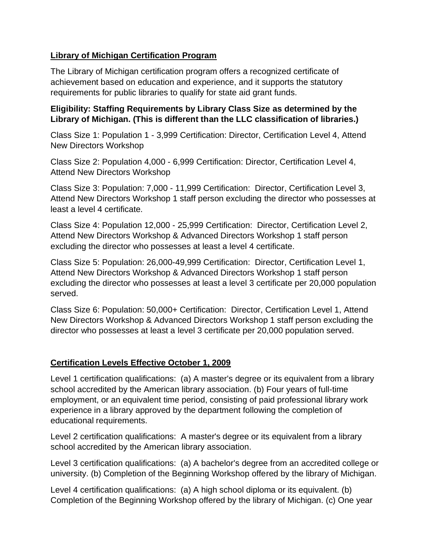## **Library of Michigan Certification Program**

The Library of Michigan certification program offers a recognized certificate of achievement based on education and experience, and it supports the statutory requirements for public libraries to qualify for state aid grant funds.

## **Eligibility: Staffing Requirements by Library Class Size as determined by the Library of Michigan. (This is different than the LLC classification of libraries.)**

Class Size 1: Population 1 - 3,999 Certification: Director, Certification Level 4, Attend New Directors Workshop

Class Size 2: Population 4,000 - 6,999 Certification: Director, Certification Level 4, Attend New Directors Workshop

Class Size 3: Population: 7,000 - 11,999 Certification: Director, Certification Level 3, Attend New Directors Workshop 1 staff person excluding the director who possesses at least a level 4 certificate.

Class Size 4: Population 12,000 - 25,999 Certification: Director, Certification Level 2, Attend New Directors Workshop & Advanced Directors Workshop 1 staff person excluding the director who possesses at least a level 4 certificate.

Class Size 5: Population: 26,000-49,999 Certification: Director, Certification Level 1, Attend New Directors Workshop & Advanced Directors Workshop 1 staff person excluding the director who possesses at least a level 3 certificate per 20,000 population served.

Class Size 6: Population: 50,000+ Certification: Director, Certification Level 1, Attend New Directors Workshop & Advanced Directors Workshop 1 staff person excluding the director who possesses at least a level 3 certificate per 20,000 population served.

## **Certification Levels Effective October 1, 2009**

Level 1 certification qualifications: (a) A master's degree or its equivalent from a library school accredited by the American library association. (b) Four years of full-time employment, or an equivalent time period, consisting of paid professional library work experience in a library approved by the department following the completion of educational requirements.

Level 2 certification qualifications: A master's degree or its equivalent from a library school accredited by the American library association.

Level 3 certification qualifications: (a) A bachelor's degree from an accredited college or university. (b) Completion of the Beginning Workshop offered by the library of Michigan.

Level 4 certification qualifications: (a) A high school diploma or its equivalent. (b) Completion of the Beginning Workshop offered by the library of Michigan. (c) One year